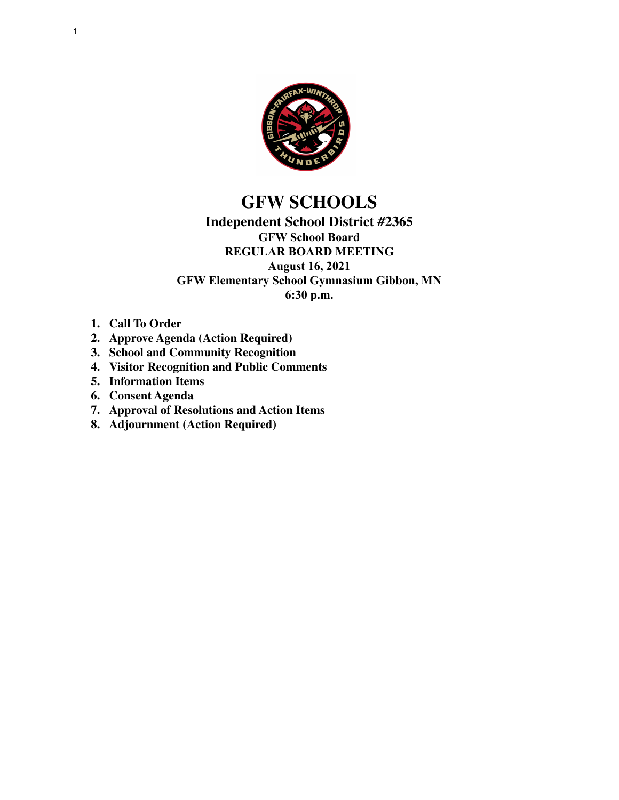

# **GFW SCHOOLS**

## **Independent School District #2365 GFW School Board REGULAR BOARD MEETING August 16, 2021 GFW Elementary School Gymnasium Gibbon, MN 6:30 p.m.**

- **1. Call To Order**
- **2. Approve Agenda (Action Required)**
- **3. School and Community Recognition**
- **4. Visitor Recognition and Public Comments**
- **5. Information Items**
- **6. Consent Agenda**
- **7. Approval of Resolutions and Action Items**
- **8. Adjournment (Action Required)**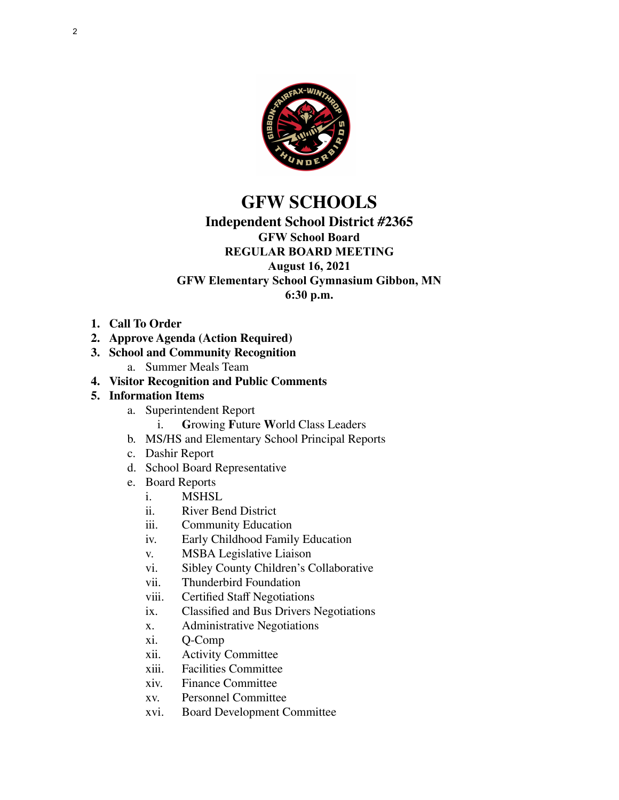

# **GFW SCHOOLS**

## **Independent School District #2365**

## **GFW School Board**

#### **REGULAR BOARD MEETING August 16, 2021**

## **GFW Elementary School Gymnasium Gibbon, MN**

**6:30 p.m.**

- **1. Call To Order**
- **2. Approve Agenda (Action Required)**
- **3. School and Community Recognition**
	- a. Summer Meals Team
- **4. Visitor Recognition and Public Comments**

## **5. Information Items**

- a. Superintendent Report
	- i. **G**rowing **F**uture **W**orld Class Leaders
- b. MS/HS and Elementary School Principal Reports
- c. Dashir Report
- d. School Board Representative
- e. Board Reports
	- **MSHSL**
	- ii. River Bend District
	- iii. Community Education
	- iv. Early Childhood Family Education
	- v. MSBA Legislative Liaison
	- vi. Sibley County Children's Collaborative
	- vii. Thunderbird Foundation
	- viii. Certified Staff Negotiations
	- ix. Classified and Bus Drivers Negotiations
	- x. Administrative Negotiations
	- xi. Q-Comp
	- xii. Activity Committee
	- xiii. Facilities Committee
	- xiv. Finance Committee
	- xv. Personnel Committee
	- xvi. Board Development Committee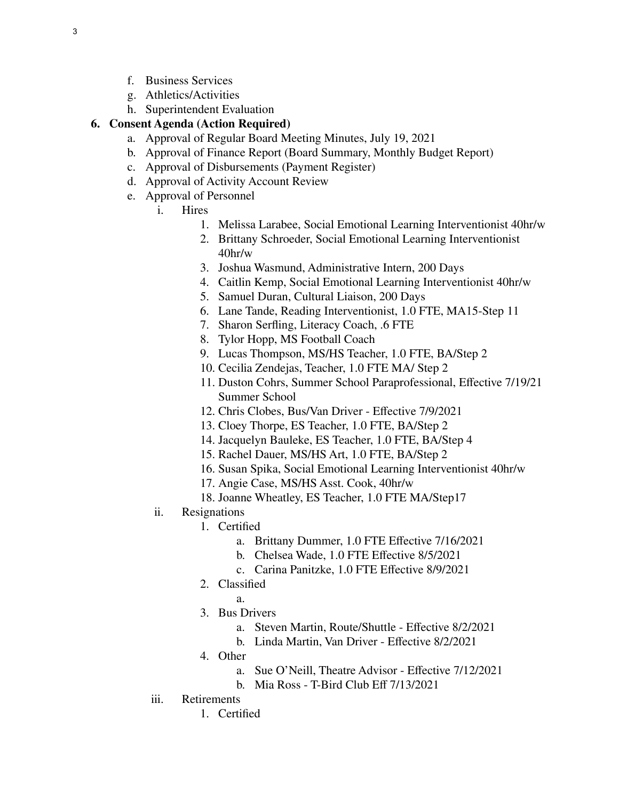- f. Business Services
- g. Athletics/Activities
- h. Superintendent Evaluation

### **6. Consent Agenda (Action Required)**

- a. Approval of Regular Board Meeting Minutes, July 19, 2021
- b. Approval of Finance Report (Board Summary, Monthly Budget Report)
- c. Approval of Disbursements (Payment Register)
- d. Approval of Activity Account Review
- e. Approval of Personnel
	- i. Hires
		- 1. Melissa Larabee, Social Emotional Learning Interventionist 40hr/w
		- 2. Brittany Schroeder, Social Emotional Learning Interventionist 40hr/w
		- 3. Joshua Wasmund, Administrative Intern, 200 Days
		- 4. Caitlin Kemp, Social Emotional Learning Interventionist 40hr/w
		- 5. Samuel Duran, Cultural Liaison, 200 Days
		- 6. Lane Tande, Reading Interventionist, 1.0 FTE, MA15-Step 11
		- 7. Sharon Serfling, Literacy Coach, .6 FTE
		- 8. Tylor Hopp, MS Football Coach
		- 9. Lucas Thompson, MS/HS Teacher, 1.0 FTE, BA/Step 2
		- 10. Cecilia Zendejas, Teacher, 1.0 FTE MA/ Step 2
		- 11. Duston Cohrs, Summer School Paraprofessional, Effective 7/19/21 Summer School
		- 12. Chris Clobes, Bus/Van Driver Effective 7/9/2021
		- 13. Cloey Thorpe, ES Teacher, 1.0 FTE, BA/Step 2
		- 14. Jacquelyn Bauleke, ES Teacher, 1.0 FTE, BA/Step 4
		- 15. Rachel Dauer, MS/HS Art, 1.0 FTE, BA/Step 2
		- 16. Susan Spika, Social Emotional Learning Interventionist 40hr/w
		- 17. Angie Case, MS/HS Asst. Cook, 40hr/w
		- 18. Joanne Wheatley, ES Teacher, 1.0 FTE MA/Step17
	- ii. Resignations
		- 1. Certified
			- a. Brittany Dummer, 1.0 FTE Effective 7/16/2021
			- b. Chelsea Wade, 1.0 FTE Effective 8/5/2021
			- c. Carina Panitzke, 1.0 FTE Effective 8/9/2021
		- 2. Classified
			- a.
		- 3. Bus Drivers
			- a. Steven Martin, Route/Shuttle Effective 8/2/2021
			- b. Linda Martin, Van Driver Effective 8/2/2021
		- 4. Other
			- a. Sue O'Neill, Theatre Advisor Effective 7/12/2021
			- b. Mia Ross T-Bird Club Eff 7/13/2021
	- iii. Retirements

1. Certified